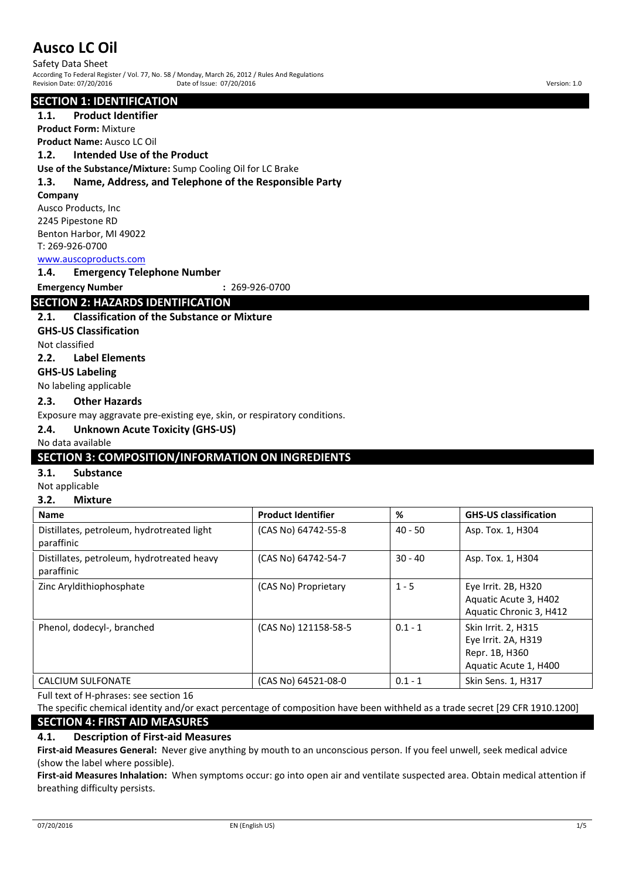Safety Data Sheet According To Federal Register / Vol. 77, No. 58 / Monday, March 26, 2012 / Rules And Regulations Revision Date: 07/20/2016 Date of Issue: 07/20/2016 Version: 1.0

## **SECTION 1: IDENTIFICATION**

## **1.1. Product Identifier**

**Product Form:** Mixture

## **Product Name:** Ausco LC Oil

## **1.2. Intended Use of the Product**

**Use of the Substance/Mixture:** Sump Cooling Oil for LC Brake

## **1.3. Name, Address, and Telephone of the Responsible Party**

#### **Company**

Ausco Products, Inc 2245 Pipestone RD Benton Harbor, MI 49022 T: 269-926-0700

## www.auscoproducts.com

**1.4. Emergency Telephone Number**

**Emergency Number :** 269-926-0700

## **SECTION 2: HAZARDS IDENTIFICATION**

## **2.1. Classification of the Substance or Mixture**

**GHS-US Classification**

Not classified

## **2.2. Label Elements**

**GHS-US Labeling**

No labeling applicable

## **2.3. Other Hazards**

Exposure may aggravate pre-existing eye, skin, or respiratory conditions.

## **2.4. Unknown Acute Toxicity (GHS-US)**

## No data available

## **SECTION 3: COMPOSITION/INFORMATION ON INGREDIENTS**

## **3.1. Substance**

Not applicable

### **3.2. Mixture**

| <b>Name</b>                                              | <b>Product Identifier</b> | %         | <b>GHS-US classification</b>                                                          |
|----------------------------------------------------------|---------------------------|-----------|---------------------------------------------------------------------------------------|
| Distillates, petroleum, hydrotreated light<br>paraffinic | (CAS No) 64742-55-8       | $40 - 50$ | Asp. Tox. 1, H304                                                                     |
| Distillates, petroleum, hydrotreated heavy<br>paraffinic | (CAS No) 64742-54-7       | $30 - 40$ | Asp. Tox. 1, H304                                                                     |
| Zinc Aryldithiophosphate                                 | (CAS No) Proprietary      | $1 - 5$   | Eye Irrit. 2B, H320<br>Aquatic Acute 3, H402<br>Aquatic Chronic 3, H412               |
| Phenol, dodecyl-, branched                               | (CAS No) 121158-58-5      | $0.1 - 1$ | Skin Irrit. 2, H315<br>Eye Irrit. 2A, H319<br>Repr. 1B, H360<br>Aquatic Acute 1, H400 |
| <b>CALCIUM SULFONATE</b>                                 | (CAS No) 64521-08-0       | $0.1 - 1$ | Skin Sens. 1, H317                                                                    |

Full text of H-phrases: see section 16

The specific chemical identity and/or exact percentage of composition have been withheld as a trade secret [29 CFR 1910.1200]

## **SECTION 4: FIRST AID MEASURES**

## **4.1. Description of First-aid Measures**

**First-aid Measures General:** Never give anything by mouth to an unconscious person. If you feel unwell, seek medical advice (show the label where possible).

**First-aid Measures Inhalation:** When symptoms occur: go into open air and ventilate suspected area. Obtain medical attention if breathing difficulty persists.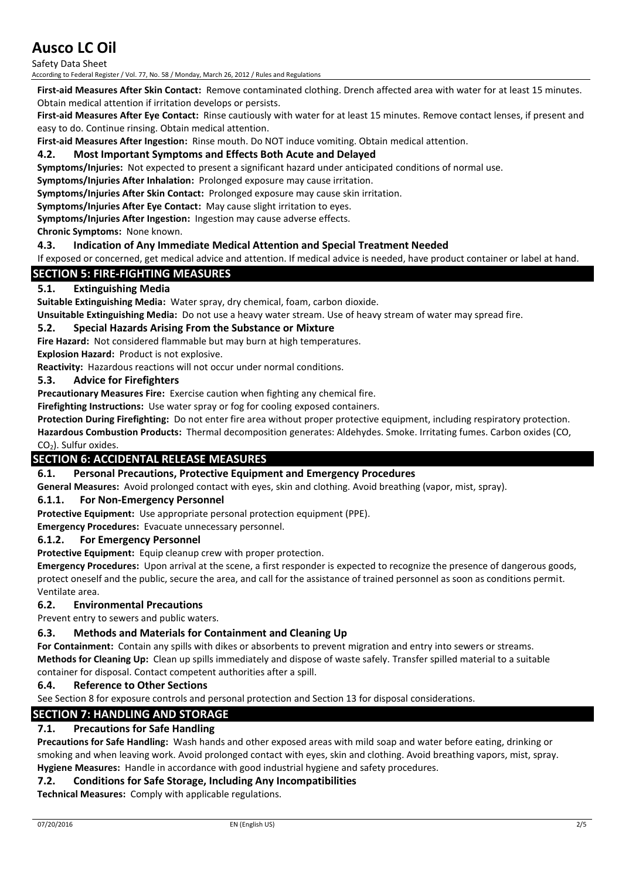Safety Data Sheet

According to Federal Register / Vol. 77, No. 58 / Monday, March 26, 2012 / Rules and Regulations

**First-aid Measures After Skin Contact:** Remove contaminated clothing. Drench affected area with water for at least 15 minutes. Obtain medical attention if irritation develops or persists.

**First-aid Measures After Eye Contact:** Rinse cautiously with water for at least 15 minutes. Remove contact lenses, if present and easy to do. Continue rinsing. Obtain medical attention.

**First-aid Measures After Ingestion:** Rinse mouth. Do NOT induce vomiting. Obtain medical attention.

## **4.2. Most Important Symptoms and Effects Both Acute and Delayed**

**Symptoms/Injuries:** Not expected to present a significant hazard under anticipated conditions of normal use.

**Symptoms/Injuries After Inhalation:** Prolonged exposure may cause irritation.

**Symptoms/Injuries After Skin Contact:** Prolonged exposure may cause skin irritation.

**Symptoms/Injuries After Eye Contact:** May cause slight irritation to eyes.

**Symptoms/Injuries After Ingestion:** Ingestion may cause adverse effects.

**Chronic Symptoms:** None known.

## **4.3. Indication of Any Immediate Medical Attention and Special Treatment Needed**

If exposed or concerned, get medical advice and attention. If medical advice is needed, have product container or label at hand.

## **SECTION 5: FIRE-FIGHTING MEASURES**

## **5.1. Extinguishing Media**

**Suitable Extinguishing Media:** Water spray, dry chemical, foam, carbon dioxide.

**Unsuitable Extinguishing Media:** Do not use a heavy water stream. Use of heavy stream of water may spread fire.

## **5.2. Special Hazards Arising From the Substance or Mixture**

**Fire Hazard:** Not considered flammable but may burn at high temperatures.

**Explosion Hazard:** Product is not explosive.

**Reactivity:** Hazardous reactions will not occur under normal conditions.

## **5.3. Advice for Firefighters**

**Precautionary Measures Fire:** Exercise caution when fighting any chemical fire.

**Firefighting Instructions:** Use water spray or fog for cooling exposed containers.

**Protection During Firefighting:** Do not enter fire area without proper protective equipment, including respiratory protection. **Hazardous Combustion Products:** Thermal decomposition generates: Aldehydes. Smoke. Irritating fumes. Carbon oxides (CO,  $CO<sub>2</sub>$ ). Sulfur oxides.

## **SECTION 6: ACCIDENTAL RELEASE MEASURES**

## **6.1. Personal Precautions, Protective Equipment and Emergency Procedures**

**General Measures:** Avoid prolonged contact with eyes, skin and clothing. Avoid breathing (vapor, mist, spray).

## **6.1.1. For Non-Emergency Personnel**

**Protective Equipment:** Use appropriate personal protection equipment (PPE).

**Emergency Procedures:** Evacuate unnecessary personnel.

## **6.1.2. For Emergency Personnel**

**Protective Equipment:** Equip cleanup crew with proper protection.

**Emergency Procedures:** Upon arrival at the scene, a first responder is expected to recognize the presence of dangerous goods, protect oneself and the public, secure the area, and call for the assistance of trained personnel as soon as conditions permit. Ventilate area.

## **6.2. Environmental Precautions**

Prevent entry to sewers and public waters.

## **6.3. Methods and Materials for Containment and Cleaning Up**

**For Containment:** Contain any spills with dikes or absorbents to prevent migration and entry into sewers or streams. **Methods for Cleaning Up:** Clean up spills immediately and dispose of waste safely. Transfer spilled material to a suitable container for disposal. Contact competent authorities after a spill.

## **6.4. Reference to Other Sections**

See Section 8 for exposure controls and personal protection and Section 13 for disposal considerations.

## **SECTION 7: HANDLING AND STORAGE**

## **7.1. Precautions for Safe Handling**

**Precautions for Safe Handling:** Wash hands and other exposed areas with mild soap and water before eating, drinking or smoking and when leaving work. Avoid prolonged contact with eyes, skin and clothing. Avoid breathing vapors, mist, spray. **Hygiene Measures:** Handle in accordance with good industrial hygiene and safety procedures.

## **7.2. Conditions for Safe Storage, Including Any Incompatibilities**

**Technical Measures:** Comply with applicable regulations.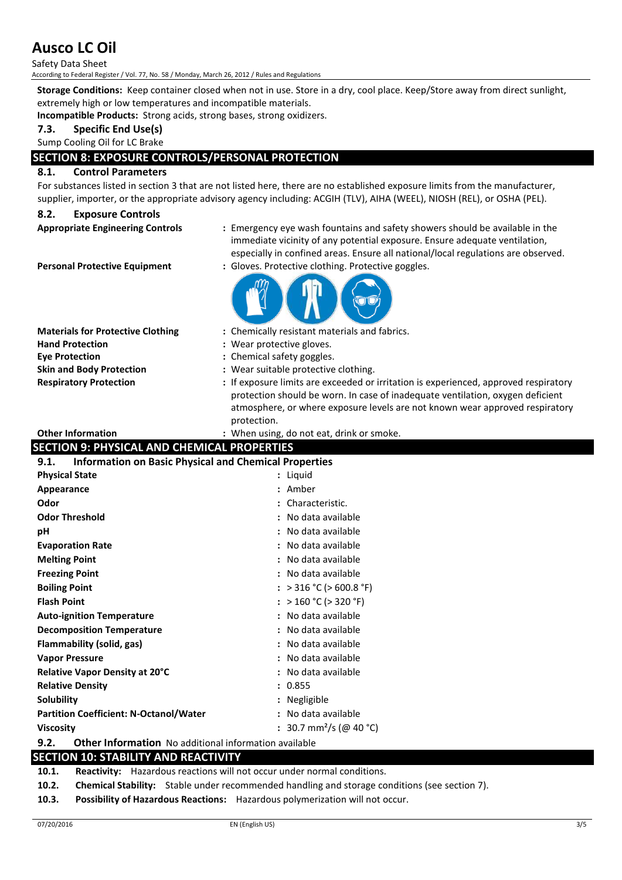Safety Data Sheet

According to Federal Register / Vol. 77, No. 58 / Monday, March 26, 2012 / Rules and Regulations

**Storage Conditions:** Keep container closed when not in use. Store in a dry, cool place. Keep/Store away from direct sunlight, extremely high or low temperatures and incompatible materials.

**Incompatible Products:** Strong acids, strong bases, strong oxidizers.

**7.3. Specific End Use(s)**

#### Sump Cooling Oil for LC Brake

## **SECTION 8: EXPOSURE CONTROLS/PERSONAL PROTECTION**

## **8.1. Control Parameters**

For substances listed in section 3 that are not listed here, there are no established exposure limits from the manufacturer, supplier, importer, or the appropriate advisory agency including: ACGIH (TLV), AIHA (WEEL), NIOSH (REL), or OSHA (PEL).

### **8.2. Exposure Controls**

- 
- **Appropriate Engineering Controls :** Emergency eye wash fountains and safety showers should be available in the immediate vicinity of any potential exposure. Ensure adequate ventilation, especially in confined areas. Ensure all national/local regulations are observed.

**Personal Protective Equipment : Gloves. Protective clothing. Protective goggles.** 



| <b>Materials for Protective Clothing</b> |
|------------------------------------------|
| <b>Hand Protection</b>                   |
| <b>Eve Protection</b>                    |
| <b>Skin and Body Protection</b>          |
| <b>Respiratory Protection</b>            |

- **Materials for Protective Clothing :** Chemically resistant materials and fabrics.
- **Hand Protection :** Wear protective gloves.
- **Eye Protection :** Chemical safety goggles.
- **Skin and Body Protection :** Wear suitable protective clothing.
- **:** If exposure limits are exceeded or irritation is experienced, approved respiratory protection should be worn. In case of inadequate ventilation, oxygen deficient atmosphere, or where exposure levels are not known wear approved respiratory protection.

#### **Other Information :** When using, do not eat, drink or smoke.

## **SECTION 9: PHYSICAL AND CHEMICAL PROPERTIES**

| <b>Information on Basic Physical and Chemical Properties</b><br>9.1. |                                     |  |
|----------------------------------------------------------------------|-------------------------------------|--|
| <b>Physical State</b>                                                | : Liquid                            |  |
| Appearance                                                           | : Amber                             |  |
| Odor                                                                 | : Characteristic.                   |  |
| <b>Odor Threshold</b>                                                | : No data available                 |  |
| рH                                                                   | : No data available                 |  |
| <b>Evaporation Rate</b>                                              | : No data available                 |  |
| <b>Melting Point</b>                                                 | : No data available                 |  |
| <b>Freezing Point</b>                                                | : No data available                 |  |
| <b>Boiling Point</b>                                                 | : > 316 °C (> 600.8 °F)             |  |
| <b>Flash Point</b>                                                   | : > 160 °C (> 320 °F)               |  |
| <b>Auto-ignition Temperature</b>                                     | : No data available                 |  |
| <b>Decomposition Temperature</b>                                     | : No data available                 |  |
| Flammability (solid, gas)                                            | : No data available                 |  |
| <b>Vapor Pressure</b>                                                | : No data available                 |  |
| <b>Relative Vapor Density at 20°C</b>                                | : No data available                 |  |
| <b>Relative Density</b>                                              | : 0.855                             |  |
| <b>Solubility</b>                                                    | : Negligible                        |  |
| <b>Partition Coefficient: N-Octanol/Water</b>                        | : No data available                 |  |
| <b>Viscosity</b>                                                     | : 30.7 mm <sup>2</sup> /s (@ 40 °C) |  |
| 9.2.<br><b>Other Information</b> No additional information available |                                     |  |

## **SECTION 10: STABILITY AND REACTIVITY**

**10.1. Reactivity:** Hazardous reactions will not occur under normal conditions.

**10.2. Chemical Stability:** Stable under recommended handling and storage conditions (see section 7).

**10.3. Possibility of Hazardous Reactions:** Hazardous polymerization will not occur.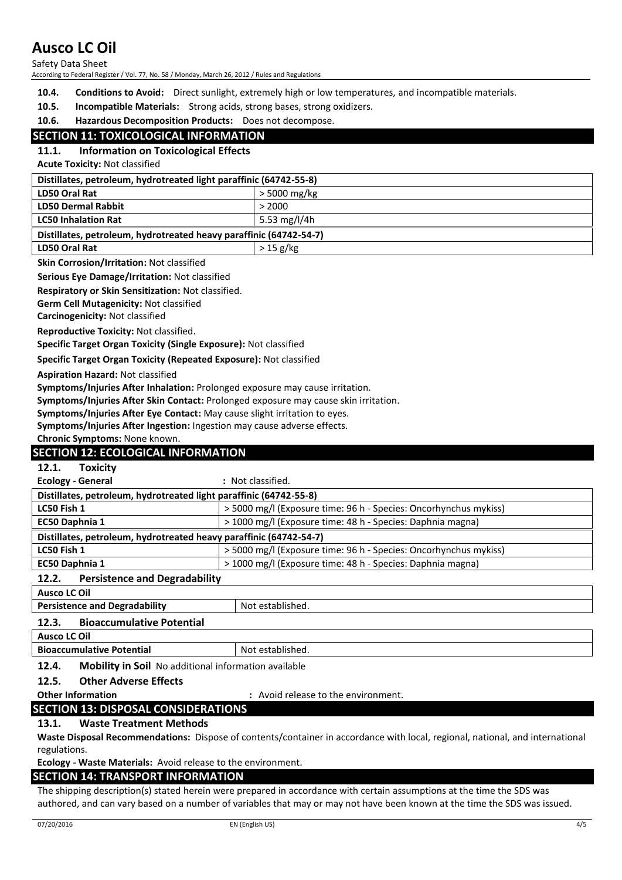Safety Data Sheet

According to Federal Register / Vol. 77, No. 58 / Monday, March 26, 2012 / Rules and Regulations

- **10.4. Conditions to Avoid:** Direct sunlight, extremely high or low temperatures, and incompatible materials.
- **10.5. Incompatible Materials:** Strong acids, strong bases, strong oxidizers.
- **10.6. Hazardous Decomposition Products:** Does not decompose.

## **SECTION 11: TOXICOLOGICAL INFORMATION**

## **11.1. Information on Toxicological Effects**

**Acute Toxicity:** Not classified

| Distillates, petroleum, hydrotreated light paraffinic (64742-55-8) |                |
|--------------------------------------------------------------------|----------------|
| <b>LD50 Oral Rat</b>                                               | $>$ 5000 mg/kg |
| <b>LD50 Dermal Rabbit</b>                                          | > 2000         |
| <b>LC50 Inhalation Rat</b>                                         | 5.53 mg/l/4h   |
| Distillates, petroleum, hydrotreated heavy paraffinic (64742-54-7) |                |
| <b>LD50 Oral Rat</b>                                               | $>$ 15 g/kg    |

#### **Skin Corrosion/Irritation:** Not classified

**Serious Eye Damage/Irritation:** Not classified

**Respiratory or Skin Sensitization:** Not classified.

**Germ Cell Mutagenicity:** Not classified

**Carcinogenicity:** Not classified

**Reproductive Toxicity:** Not classified.

**Specific Target Organ Toxicity (Single Exposure):** Not classified

**Specific Target Organ Toxicity (Repeated Exposure):** Not classified

**Aspiration Hazard:** Not classified

**Symptoms/Injuries After Inhalation:** Prolonged exposure may cause irritation.

**Symptoms/Injuries After Skin Contact:** Prolonged exposure may cause skin irritation.

**Symptoms/Injuries After Eye Contact:** May cause slight irritation to eyes.

**Symptoms/Injuries After Ingestion:** Ingestion may cause adverse effects.

**Chronic Symptoms:** None known.

## **SECTION 12: ECOLOGICAL INFORMATION**

**12.1. Toxicity**

**Ecology - General :** Not classified.

| Distillates, petroleum, hydrotreated light paraffinic (64742-55-8) |                                                                  |
|--------------------------------------------------------------------|------------------------------------------------------------------|
| LC50 Fish 1                                                        | > 5000 mg/l (Exposure time: 96 h - Species: Oncorhynchus mykiss) |
| <b>EC50 Daphnia 1</b>                                              | > 1000 mg/l (Exposure time: 48 h - Species: Daphnia magna)       |
| Distillates, petroleum, hydrotreated heavy paraffinic (64742-54-7) |                                                                  |
| LC50 Fish 1                                                        | > 5000 mg/l (Exposure time: 96 h - Species: Oncorhynchus mykiss) |
| <b>EC50 Daphnia 1</b>                                              | > 1000 mg/l (Exposure time: 48 h - Species: Daphnia magna)       |
|                                                                    |                                                                  |

## **12.2. Persistence and Degradability**

| <b>Ausco LC Oil</b>                       |                  |
|-------------------------------------------|------------------|
| <b>Persistence and Degradability</b>      | Not established. |
| <b>Bioaccumulative Potential</b><br>12.3. |                  |
| Ausco LC Oil                              |                  |

| <b>Bioaccumulative</b> | - Not          |
|------------------------|----------------|
| Potential              | * established. |
| $\sim$<br>.            | $\cdot$ .      |

**12.4. Mobility in Soil** No additional information available

**12.5. Other Adverse Effects**

**Other Information :** Avoid release to the environment.

## **SECTION 13: DISPOSAL CONSIDERATIONS**

## **13.1. Waste Treatment Methods**

**Waste Disposal Recommendations:** Dispose of contents/container in accordance with local, regional, national, and international regulations.

**Ecology - Waste Materials:** Avoid release to the environment.

## **SECTION 14: TRANSPORT INFORMATION**

The shipping description(s) stated herein were prepared in accordance with certain assumptions at the time the SDS was authored, and can vary based on a number of variables that may or may not have been known at the time the SDS was issued.